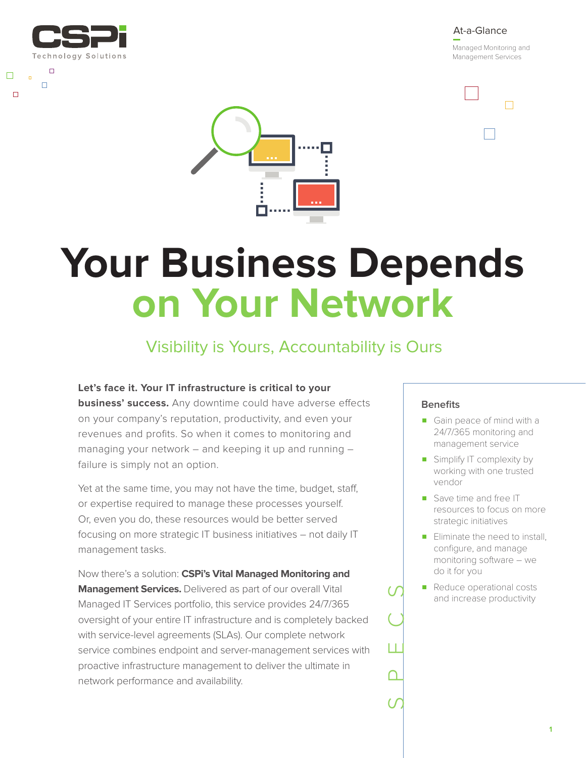

 $\Box$ 

 $\Box$ 

 $\Box$ 

 $\Box$ 



 $\Box$ 



# **Your Business Depends on Your Network**

## Visibility is Yours, Accountability is Ours

**Let's face it. Your IT infrastructure is critical to your** 

**business' success.** Any downtime could have adverse effects on your company's reputation, productivity, and even your revenues and profits. So when it comes to monitoring and managing your network – and keeping it up and running – failure is simply not an option.

Yet at the same time, you may not have the time, budget, staff, or expertise required to manage these processes yourself. Or, even you do, these resources would be better served focusing on more strategic IT business initiatives – not daily IT management tasks.

Now there's a solution: **CSPi's Vital Managed Monitoring and Management Services.** Delivered as part of our overall Vital Managed IT Services portfolio, this service provides 24/7/365 oversight of your entire IT infrastructure and is completely backed with service-level agreements (SLAs). Our complete network service combines endpoint and server-management services with proactive infrastructure management to deliver the ultimate in network performance and availability.

### **Benefits**

SPECS

- Gain peace of mind with a 24/7/365 monitoring and management service
- Simplify IT complexity by working with one trusted vendor
- Save time and free IT resources to focus on more strategic initiatives
- Eliminate the need to install, configure, and manage monitoring software – we do it for you
- Reduce operational costs and increase productivity